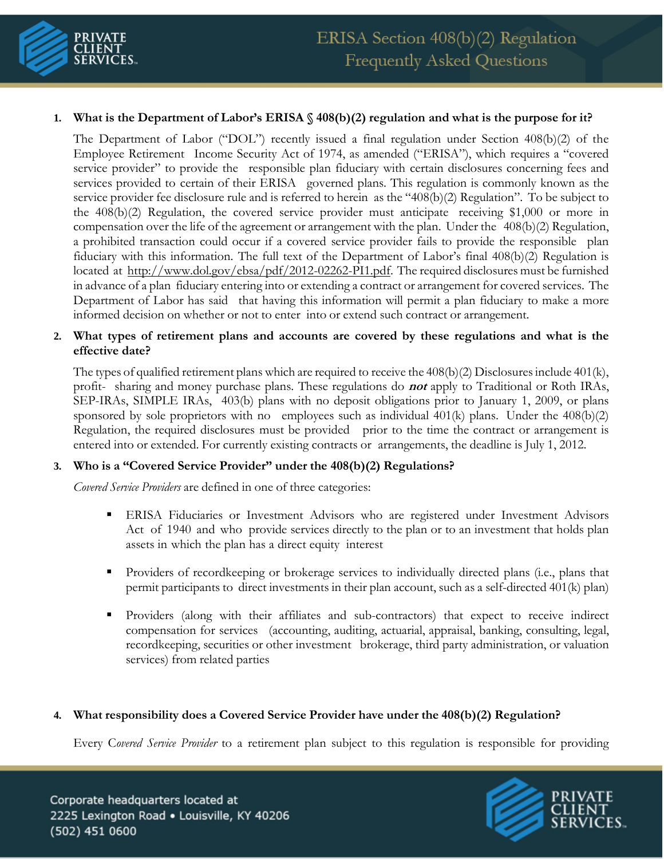

# **1. What is the Department of Labor's ERISA § 408(b)(2) regulation and what is the purpose for it?**

The Department of Labor ("DOL") recently issued a final regulation under Section 408(b)(2) of the Employee Retirement Income Security Act of 1974, as amended ("ERISA"), which requires a "covered service provider" to provide the responsible plan fiduciary with certain disclosures concerning fees and services provided to certain of their ERISA governed plans. This regulation is commonly known as the service provider fee disclosure rule and is referred to herein as the "408(b)(2) Regulation". To be subject to the 408(b)(2) Regulation, the covered service provider must anticipate receiving \$1,000 or more in compensation over the life of the agreement or arrangement with the plan. Under the 408(b)(2) Regulation, a prohibited transaction could occur if a covered service provider fails to provide the responsible plan fiduciary with this information. The full text of the Department of Labor's final 408(b)(2) Regulation is located at [http://www.dol.gov/ebsa/pdf/2012-02262-PI1.pdf.](http://www.dol.gov/ebsa/pdf/2012-02262-PI1.pdf) The required disclosures must be furnished in advance of a plan fiduciary entering into or extending a contract or arrangement for covered services. The Department of Labor has said that having this information will permit a plan fiduciary to make a more informed decision on whether or not to enter into or extend such contract or arrangement.

# **2. What types of retirement plans and accounts are covered by these regulations and what is the effective date?**

The types of qualified retirement plans which are required to receive the  $408(b)(2)$  Disclosures include  $401(k)$ , profit- sharing and money purchase plans. These regulations do **not** apply to Traditional or Roth IRAs, SEP-IRAs, SIMPLE IRAs, 403(b) plans with no deposit obligations prior to January 1, 2009, or plans sponsored by sole proprietors with no employees such as individual  $401(k)$  plans. Under the  $408(b)(2)$ Regulation, the required disclosures must be provided prior to the time the contract or arrangement is entered into or extended. For currently existing contracts or arrangements, the deadline is July 1, 2012.

## **3. Who is a "Covered Service Provider" under the 408(b)(2) Regulations?**

*Covered Service Providers* are defined in one of three categories:

- **ERISA Fiduciaries or Investment Advisors who are registered under Investment Advisors** Act of 1940 and who provide services directly to the plan or to an investment that holds plan assets in which the plan has a direct equity interest
- **•** Providers of recordkeeping or brokerage services to individually directed plans (i.e., plans that permit participants to direct investments in their plan account, such as a self-directed 401(k) plan)
- Providers (along with their affiliates and sub-contractors) that expect to receive indirect compensation for services (accounting, auditing, actuarial, appraisal, banking, consulting, legal, recordkeeping, securities or other investment brokerage, third party administration, or valuation services) from related parties

## **4. What responsibility does a Covered Service Provider have under the 408(b)(2) Regulation?**

Every C*overed Service Provider* to a retirement plan subject to this regulation is responsible for providing

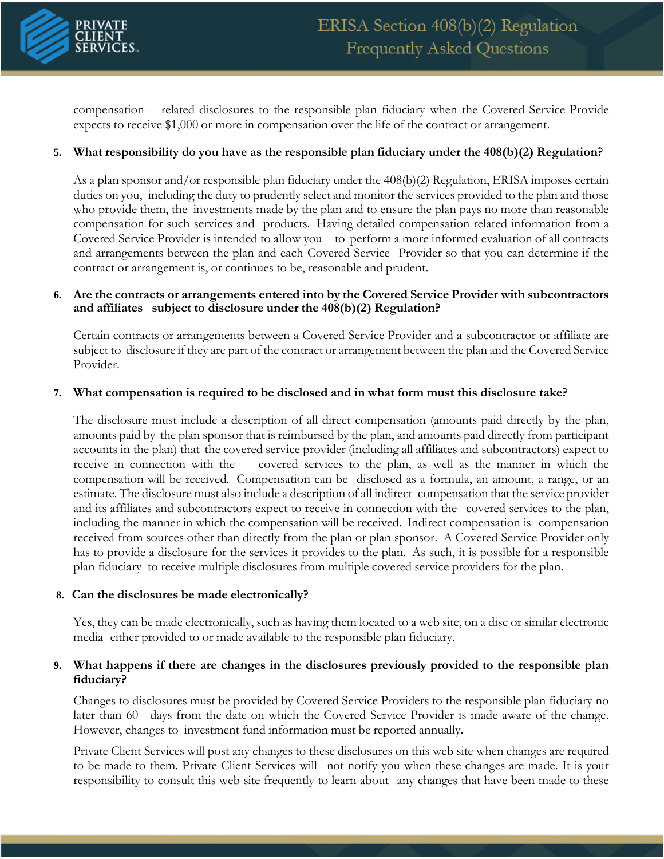

compensation- related disclosures to the responsible plan fiduciary when the Covered Service Provide expects to receive \$1,000 or more in compensation over the life of the contract or arrangement.

# **5. What responsibility do you have as the responsible plan fiduciary under the 408(b)(2) Regulation?**

As a plan sponsor and/or responsible plan fiduciary under the 408(b)(2) Regulation, ERISA imposes certain duties on you, including the duty to prudently select and monitor the services provided to the plan and those who provide them, the investments made by the plan and to ensure the plan pays no more than reasonable compensation for such services and products. Having detailed compensation related information from a Covered Service Provider is intended to allow you to perform a more informed evaluation of all contracts and arrangements between the plan and each Covered Service Provider so that you can determine if the contract or arrangement is, or continues to be, reasonable and prudent.

#### **6. Are the contracts or arrangements entered into by the Covered Service Provider with subcontractors and affiliates subject to disclosure under the 408(b)(2) Regulation?**

Certain contracts or arrangements between a Covered Service Provider and a subcontractor or affiliate are subject to disclosure if they are part of the contract or arrangement between the plan and the Covered Service Provider.

#### **7. What compensation is required to be disclosed and in what form must this disclosure take?**

The disclosure must include a description of all direct compensation (amounts paid directly by the plan, amounts paid by the plan sponsor that is reimbursed by the plan, and amounts paid directly from participant accounts in the plan) that the covered service provider (including all affiliates and subcontractors) expect to receive in connection with the covered services to the plan, as well as the manner in which the compensation will be received. Compensation can be disclosed as a formula, an amount, a range, or an estimate. The disclosure must also include a description of all indirect compensation that the service provider and its affiliates and subcontractors expect to receive in connection with the covered services to the plan, including the manner in which the compensation will be received. Indirect compensation is compensation received from sources other than directly from the plan or plan sponsor. A Covered Service Provider only has to provide a disclosure for the services it provides to the plan. As such, it is possible for a responsible plan fiduciary to receive multiple disclosures from multiple covered service providers for the plan.

## **8. Can the disclosures be made electronically?**

Yes, they can be made electronically, such as having them located to a web site, on a disc or similar electronic media either provided to or made available to the responsible plan fiduciary.

## **9. What happens if there are changes in the disclosures previously provided to the responsible plan fiduciary?**

Changes to disclosures must be provided by Covered Service Providers to the responsible plan fiduciary no later than 60 days from the date on which the Covered Service Provider is made aware of the change. However, changes to investment fund information must be reported annually.

Private Client Services will post any changes to these disclosures on this web site when changes are required to be made to them. Private Client Services will not notify you when these changes are made. It is your responsibility to consult this web site frequently to learn about any changes that have been made to these